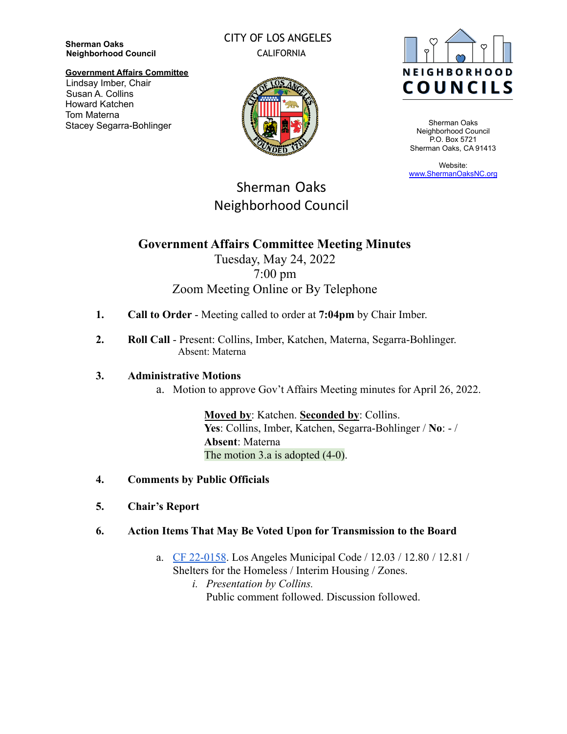**Sherman Oaks Neighborhood Council**

### CITY OF LOS ANGELES CALIFORNIA



Sherman Oaks Neighborhood Council P.O. Box 5721 Sherman Oaks, CA 91413

Website: [www.ShermanOaksNC.org](http://www.shermanoaksnc.org)

#### **Government Affairs Committee** Lindsay Imber, Chair Susan A. Collins Howard Katchen Tom Materna Stacey Segarra-Bohlinger



# Sherman Oaks Neighborhood Council

## **Government Affairs Committee Meeting Minutes**

### Tuesday, May 24, 2022 7:00 pm Zoom Meeting Online or By Telephone

- **1. Call to Order** Meeting called to order at **7:04pm** by Chair Imber.
- **2. Roll Call** Present: Collins, Imber, Katchen, Materna, Segarra-Bohlinger. Absent: Materna

### **3. Administrative Motions**

a. Motion to approve Gov't Affairs Meeting minutes for April 26, 2022.

**Moved by**: Katchen. **Seconded by**: Collins. **Yes**: Collins, Imber, Katchen, Segarra-Bohlinger / **No**: - / **Absent**: Materna The motion 3.a is adopted (4-0).

- **4. Comments by Public Officials**
- **5. Chair's Report**
- **6. Action Items That May Be Voted Upon for Transmission to the Board**
	- a. [CF 22-0158](https://cityclerk.lacity.org/lacityclerkconnect/index.cfm?fa=ccfi.viewrecord&cfnumber=22-0158). Los Angeles Municipal Code / 12.03 / 12.80 / 12.81 / Shelters for the Homeless / Interim Housing / Zones.
		- *i. Presentation by Collins.* Public comment followed. Discussion followed.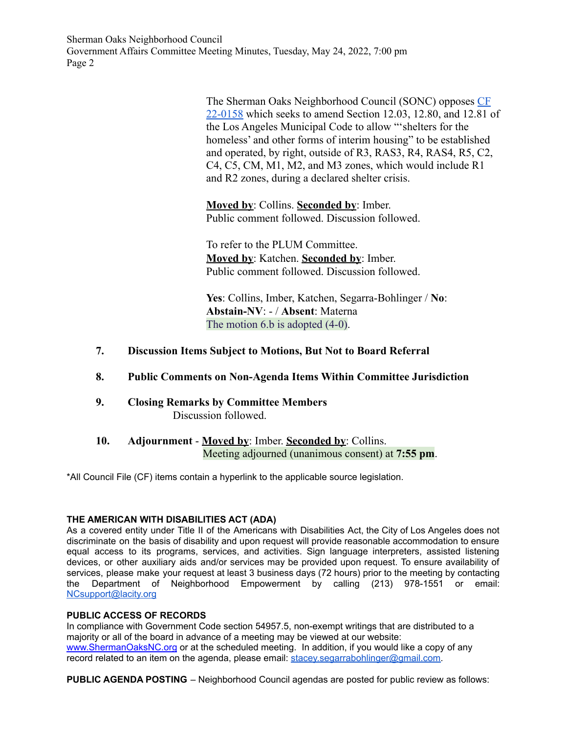Sherman Oaks Neighborhood Council Government Affairs Committee Meeting Minutes, Tuesday, May 24, 2022, 7:00 pm Page 2

> The Sherman Oaks Neighborhood Council (SONC) opposes [CF](https://cityclerk.lacity.org/lacityclerkconnect/index.cfm?fa=ccfi.viewrecord&cfnumber=22-0158) [22-0158](https://cityclerk.lacity.org/lacityclerkconnect/index.cfm?fa=ccfi.viewrecord&cfnumber=22-0158) which seeks to amend Section 12.03, 12.80, and 12.81 of the Los Angeles Municipal Code to allow "'shelters for the homeless' and other forms of interim housing" to be established and operated, by right, outside of R3, RAS3, R4, RAS4, R5, C2, C4, C5, CM, M1, M2, and M3 zones, which would include R1 and R2 zones, during a declared shelter crisis.

**Moved by**: Collins. **Seconded by**: Imber. Public comment followed. Discussion followed.

To refer to the PLUM Committee. **Moved by**: Katchen. **Seconded by**: Imber. Public comment followed. Discussion followed.

**Yes**: Collins, Imber, Katchen, Segarra-Bohlinger / **No**: **Abstain-NV**: - / **Absent**: Materna The motion 6.b is adopted (4-0).

- **7. Discussion Items Subject to Motions, But Not to Board Referral**
- **8. Public Comments on Non-Agenda Items Within Committee Jurisdiction**
- **9. Closing Remarks by Committee Members** Discussion followed.
- **10. Adjournment Moved by**: Imber. **Seconded by**: Collins. Meeting adjourned (unanimous consent) at **7:55 pm**.

\*All Council File (CF) items contain a hyperlink to the applicable source legislation.

#### **THE AMERICAN WITH DISABILITIES ACT (ADA)**

As a covered entity under Title II of the Americans with Disabilities Act, the City of Los Angeles does not discriminate on the basis of disability and upon request will provide reasonable accommodation to ensure equal access to its programs, services, and activities. Sign language interpreters, assisted listening devices, or other auxiliary aids and/or services may be provided upon request. To ensure availability of services, please make your request at least 3 business days (72 hours) prior to the meeting by contacting the Department of Neighborhood Empowerment by calling (213) 978-1551 or email: [NCsupport@lacity.org](mailto:NCsupport@lacity.org)

#### **PUBLIC ACCESS OF RECORDS**

In compliance with Government Code section 54957.5, non-exempt writings that are distributed to a majority or all of the board in advance of a meeting may be viewed at our website: [www.ShermanOaksNC.org](http://www.shermanoaksnc.org) or at the scheduled meeting. In addition, if you would like a copy of any record related to an item on the agenda, please email: [stacey.segarrabohlinger@gmail.com.](mailto:stacey.segarrabohlinger@gmail.com)

**PUBLIC AGENDA POSTING** – Neighborhood Council agendas are posted for public review as follows: